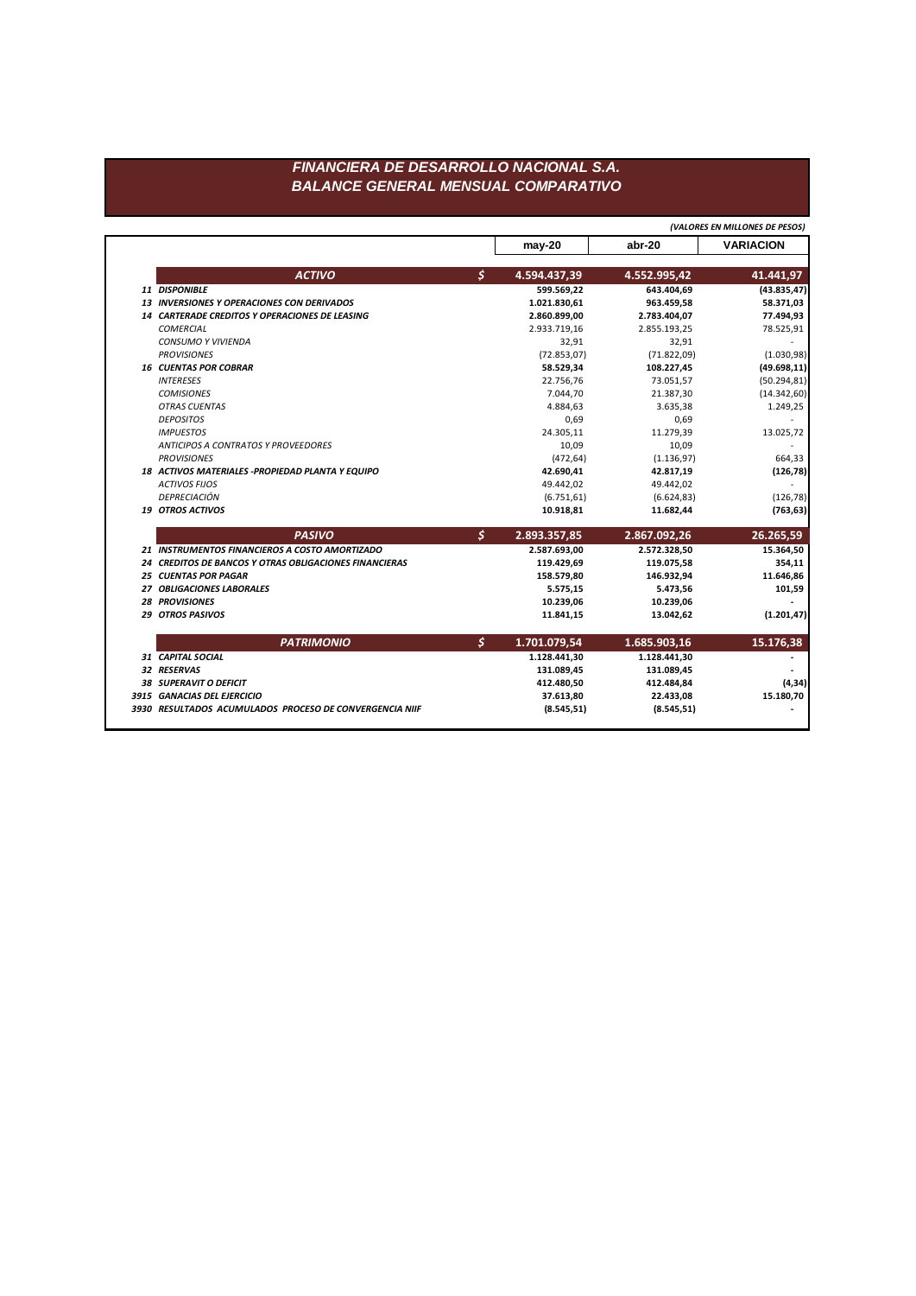## FINANCIERA DE DESARROLLO NACIONAL S.A. **BALANCE GENERAL MENSUAL COMPARATIVO**

|                                                        |                    |              | (VALORES EN MILLONES DE PESOS) |
|--------------------------------------------------------|--------------------|--------------|--------------------------------|
|                                                        | $may-20$           | abr-20       | <b>VARIACION</b>               |
| <b>ACTIVO</b>                                          | \$<br>4.594.437,39 | 4.552.995,42 | 41.441,97                      |
| 11 DISPONIBLE                                          | 599.569,22         | 643.404,69   | (43.835, 47)                   |
| 13 INVERSIONES Y OPERACIONES CON DERIVADOS             | 1.021.830.61       | 963.459.58   | 58.371,03                      |
| <b>14 CARTERADE CREDITOS Y OPERACIONES DE LEASING</b>  | 2.860.899,00       | 2.783.404,07 | 77.494,93                      |
| <b>COMERCIAL</b>                                       | 2.933.719,16       | 2.855.193,25 | 78.525,91                      |
| <b>CONSUMO Y VIVIENDA</b>                              | 32,91              | 32,91        |                                |
| <b>PROVISIONES</b>                                     | (72.853, 07)       | (71.822,09)  | (1.030, 98)                    |
| <b>16 CUENTAS POR COBRAR</b>                           | 58.529,34          | 108.227,45   | (49.698, 11)                   |
| <b>INTERESES</b>                                       | 22.756.76          | 73.051,57    | (50.294, 81)                   |
| <b>COMISIONES</b>                                      | 7.044,70           | 21.387,30    | (14.342, 60)                   |
| <b>OTRAS CUENTAS</b>                                   | 4.884,63           | 3.635,38     | 1.249,25                       |
| <b>DEPOSITOS</b>                                       | 0,69               | 0,69         |                                |
| <b>IMPUESTOS</b>                                       | 24.305,11          | 11.279,39    | 13.025,72                      |
| <b>ANTICIPOS A CONTRATOS Y PROVEEDORES</b>             | 10,09              | 10,09        |                                |
| <b>PROVISIONES</b>                                     | (472, 64)          | (1.136, 97)  | 664,33                         |
| 18 ACTIVOS MATERIALES - PROPIEDAD PLANTA Y EQUIPO      | 42.690,41          | 42.817,19    | (126, 78)                      |
| <b>ACTIVOS FIJOS</b>                                   | 49.442,02          | 49.442,02    |                                |
| DEPRECIACIÓN                                           | (6.751, 61)        | (6.624, 83)  | (126, 78)                      |
| <b>19 OTROS ACTIVOS</b>                                | 10.918,81          | 11.682,44    | (763, 63)                      |
| <b>PASIVO</b>                                          | \$<br>2.893.357,85 | 2.867.092,26 | 26.265,59                      |
| 21 INSTRUMENTOS FINANCIEROS A COSTO AMORTIZADO         | 2.587.693,00       | 2.572.328,50 | 15.364,50                      |
| 24 CREDITOS DE BANCOS Y OTRAS OBLIGACIONES FINANCIERAS | 119.429,69         | 119.075,58   | 354,11                         |
| <b>25 CUENTAS POR PAGAR</b>                            | 158.579,80         | 146.932,94   | 11.646,86                      |
| 27 OBLIGACIONES LABORALES                              | 5.575.15           | 5.473,56     | 101,59                         |
| <b>28 PROVISIONES</b>                                  | 10.239,06          | 10.239,06    |                                |
| <b>29 OTROS PASIVOS</b>                                | 11.841,15          | 13.042,62    | (1.201, 47)                    |
| <b>PATRIMONIO</b>                                      | \$<br>1.701.079,54 | 1.685.903,16 | 15.176,38                      |
| 31 CAPITAL SOCIAL                                      | 1.128.441,30       | 1.128.441,30 |                                |
|                                                        | 131.089,45         | 131.089,45   |                                |
| 32 RESERVAS                                            |                    |              |                                |
| <b>38 SUPERAVIT O DEFICIT</b>                          | 412.480,50         | 412.484,84   |                                |
| 3915 GANACIAS DEL EJERCICIO                            | 37.613,80          | 22.433,08    | (4, 34)<br>15.180,70           |